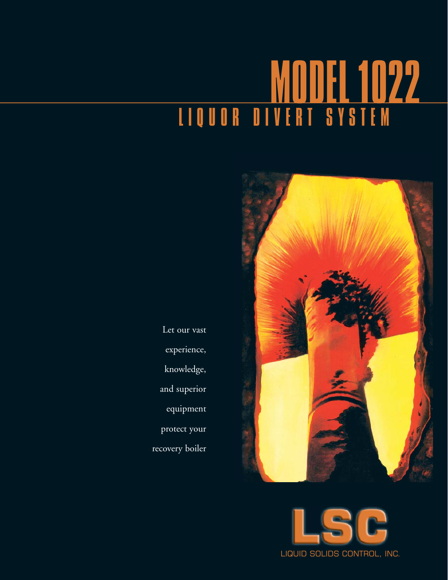# MODEL 1022 LIQUOR DIVERT SYSTEM



Let our vast experience, knowledge, and superior equipment protect your recovery boiler

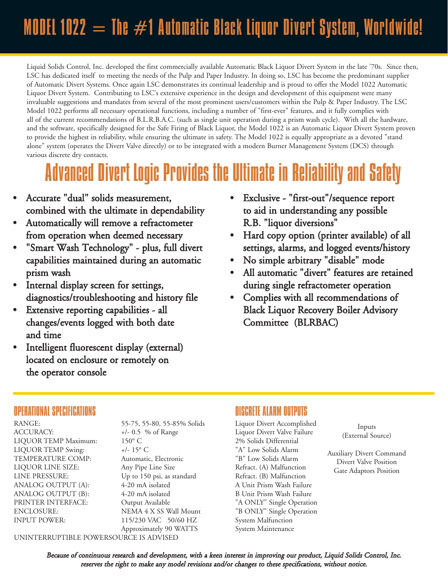### MODEL 1022  $=$  The  $\#$ 1 Automatic Black Liquor Divert System, Worldwide!

Liquid Solids Control, Inc. developed the first commercially available Automatic Black Liquor Divert System in the late '70s. Since then, LSC has dedicated itself to meeting the needs of the Pulp and Paper Industry. In doing so, LSC has become the predominant supplier of Automatic Divert Systems. Once again LSC demonstrates its continual leadership and is proud to offer the Model 1022 Automatic Liquor Divert System. Contributing to LSC's extensive experience in the design and development of this equipment were many invaluable suggestions and mandates from several of the most prominent users/customers within the Pulp & Paper Industry. The LSC Model 1022 performs all necessary operational functions, including a number of "first-ever" features, and it fully complies with all of the current recommendations of B.L.R.B.A.C. (such as single unit operation during a prism wash cycle). With all the hardware, and the software, specifically designed for the Safe Firing of Black Liquor, the Model 1022 is an Automatic Liquor Divert System proven to provide the highest in reliability, while ensuring the ultimate in safety. The Model 1022 is equally appropriate as a devoted "stand alone" system (operates the Divert Valve directly) or to be integrated with a modern Burner Management System (DCS) through various discrete dry contacts.

### Advanced Divert Logic Provides the Ultimate in Reliability and Safety

- Accurate "dual" solids measurement, combined with the ultimate in dependability
- Automatically will remove a refractometer from operation when deemed necessary
- "Smart Wash Technology" plus, full divert capabilities maintained during an automatic prism wash
- Internal display screen for settings, diagnostics/troubleshooting and history file
- Extensive reporting capabilities all changes/events logged with both date and time
- Intelligent fluorescent display (external) located on enclosure or remotely on the operator console
- Exclusive "first-out"/sequence report to aid in understanding any possible R.B. "liquor diversions"
- Hard copy option (printer available) of all settings, alarms, and logged events/history
- No simple arbitrary "disable" mode
- All automatic "divert" features are retained during single refractometer operation
- Complies with all recommendations of Black Liquor Recovery Boiler Advisory Committee (BLRBAC)

#### OPERATIONAL SPECIFICATIONS DISCRETE ALARM OUTPUTS

RANGE: 55-75, 55-80, 55-85% Solids Liquor Divert Accomplished

ACCURACY:  $+/- 0.5 %$  of Range Liquor Divert Valve Failure LIQUOR TEMP Maximum: 150° C 2% Solids Differential LIQUOR TEMP Swing:  $+/-15^{\circ}$  C  $+/-15^{\circ}$  TA" Low Solids Alarm TEMPERATURE COMP: Automatic, Electronic "B" Low Solids Alarm LIQUOR LINE SIZE: Any Pipe Line Size Refract. (A) Malfunction LINE PRESSURE: Up to 150 psi, as standard Refract. (B) Malfunction ANALOG OUTPUT (A):  $4-20$  mA isolated A Unit Prism Wash Failure ANALOG OUTPUT (B): 4-20 mA isolated B Unit Prism Wash Failure PRINTER INTERFACE: Output Available "A ONLY" Single Operation ENCLOSURE: NEMA 4 X SS Wall Mount "B ONLY" Single Operation INPUT POWER: 115/230 VAC 50/60 HZ System Malfunction Approximately 90 WATTS System Maintenance

Inputs (External Source)

Auxiliary Divert Command Divert Valve Position Gate Adaptors Position

UNINTERRUPTIBLE POWERSOURCE IS ADVISED

Because of continuous research and development, with a keen interest in improving our product, Liquid Solids Control, Inc. reserves the right to make any model revisions and/or changes to these specifications, without notice.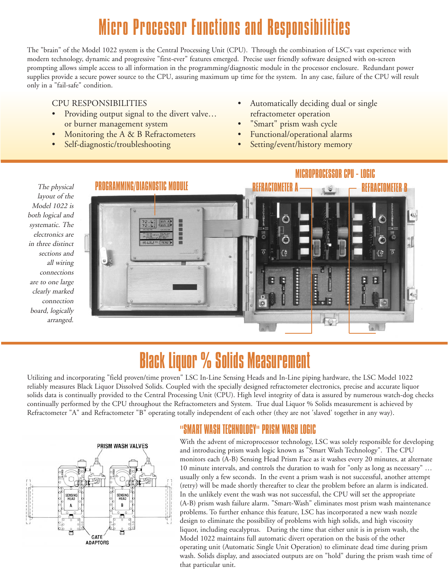### Micro Processor Functions and Responsibilities

The "brain" of the Model 1022 system is the Central Processing Unit (CPU). Through the combination of LSC's vast experience with modern technology, dynamic and progressive "first-ever" features emerged. Precise user friendly software designed with on-screen prompting allows simple access to all information in the programming/diagnostic module in the processor enclosure. Redundant power supplies provide a secure power source to the CPU, assuring maximum up time for the system. In any case, failure of the CPU will result only in a "fail-safe" condition.

#### CPU RESPONSIBILITIES

- Providing output signal to the divert valve... or burner management system
- Monitoring the A & B Refractometers
- Self-diagnostic/troubleshooting
- Automatically deciding dual or single refractometer operation
- "Smart" prism wash cycle
- Functional/operational alarms
- Setting/event/history memory

The physical layout of the Model 1022 is both logical and systematic. The electronics are in three distinct sections and all wiring connections are to one large clearly marked connection board, logically arranged.



### Black Liquor % Solids Measurement

Utilizing and incorporating "field proven/time proven" LSC In-Line Sensing Heads and In-Line piping hardware, the LSC Model 1022 reliably measures Black Liquor Dissolved Solids. Coupled with the specially designed refractometer electronics, precise and accurate liquor solids data is continually provided to the Central Processing Unit (CPU). High level integrity of data is assured by numerous watch-dog checks continually performed by the CPU throughout the Refractometers and System. True dual Liquor % Solids measurement is achieved by Refractometer "A" and Refractometer "B" operating totally independent of each other (they are not 'slaved' together in any way).

#### PRISM WASH VALVES



### "SMART WASH TECHNOLOGY" PRISM WASH LOGIC

With the advent of microprocessor technology, LSC was solely responsible for developing and introducing prism wash logic known as "Smart Wash Technology". The CPU monitors each (A-B) Sensing Head Prism Face as it washes every 20 minutes, at alternate 10 minute intervals, and controls the duration to wash for "only as long as necessary" … usually only a few seconds. In the event a prism wash is not successful, another attempt (retry) will be made shortly thereafter to clear the problem before an alarm is indicated. In the unlikely event the wash was not successful, the CPU will set the appropriate (A-B) prism wash failure alarm. "Smart-Wash" eliminates most prism wash maintenance problems. To further enhance this feature, LSC has incorporated a new wash nozzle design to eliminate the possibility of problems with high solids, and high viscosity liquor, including eucalyptus. During the time that either unit is in prism wash, the Model 1022 maintains full automatic divert operation on the basis of the other operating unit (Automatic Single Unit Operation) to eliminate dead time during prism wash. Solids display, and associated outputs are on "hold" during the prism wash time of that particular unit.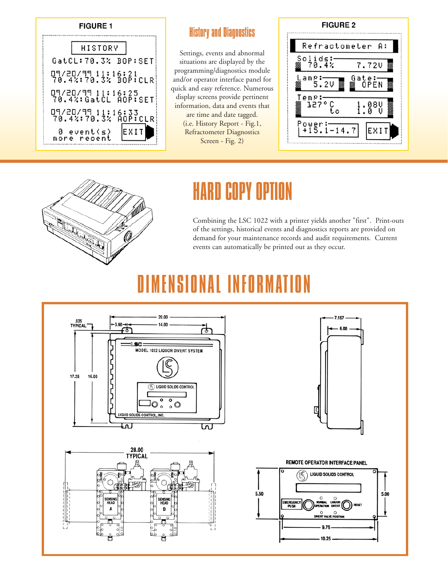#### **FIGURE 1**



#### History and Diagnostics

Settings, events and abnormal situations are displayed by the programming/diagnostics module and/or operator interface panel for quick and easy reference. Numerous display screens provide pertinent information, data and events that are time and date tagged. (i.e. History Report - Fig.1, Refractometer Diagnostics Screen - Fig. 2)





### HARD COPY OPTION

Combining the LSC 1022 with a printer yields another "first". Print-outs of the settings, historical events and diagnostics reports are provided on demand for your maintenance records and audit requirements. Current events can automatically be printed out as they occur.

### DIMENSIONAL INFORMATI

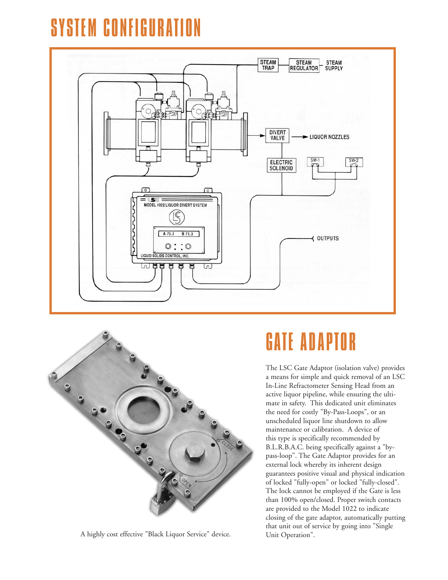## **GONFIGUR**





A highly cost effective "Black Liquor Service" device.

### GATE ADAPTOR

The LSC Gate Adaptor (isolation valve) provides a means for simple and quick removal of an LSC In-Line Refractometer Sensing Head from an active liquor pipeline, while ensuring the ultimate in safety. This dedicated unit eliminates the need for costly "By-Pass-Loops", or an unscheduled liquor line shutdown to allow maintenance or calibration. A device of this type is specifically recommended by B.L.R.B.A.C. being specifically against a "bypass-loop". The Gate Adaptor provides for an external lock whereby its inherent design guarantees positive visual and physical indication of locked "fully-open" or locked "fully-closed". The lock cannot be employed if the Gate is less than 100% open/closed. Proper switch contacts are provided to the Model 1022 to indicate closing of the gate adaptor, automatically putting that unit out of service by going into "Single Unit Operation".